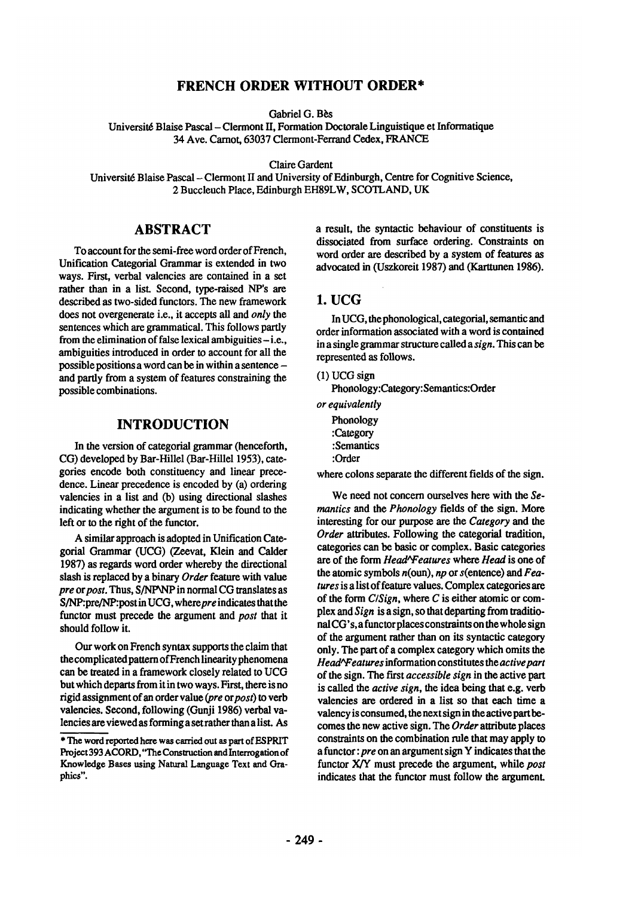## **FRENCH ORDER WITHOUT ORDER\***

Gabriel G. Bès

Universit6 Blaise Pascal - Clermont II, Formation Doctorale Linguistique et Informatique 34 Ave. Carnot, 63037 Clermont-Ferrand Cedex, FRANCE

Claire Gardent

Universit6 Blaise Pascal -Clermont II and University of Edinburgh, Centre for Cognitive Science, 2 Buccleuch Place, Edinburgh EH89LW, SCOTLAND, UK

# **ABSTRACT**

To account for the semi-free word order of French, Unification Categorial Grammar is extended in two ways. First, verbal valencies are contained in a set rather than in a list. Second, type-raised NP's are described as two-sided functors. The new framework does not overgenerate i.e., it accepts all and *only the*  sentences which are grammatical. This follows partly from the elimination of false lexical ambiguities  $-i.e.,$ ambiguities introduced in order to account for all the possible positions a word can be in within a sentence and partly from a system of features constraining the possible combinations.

#### **INTRODUCTION**

In the version of categorial grammar (henceforth, CG) developed by Bar-Hillel (Bar-Hillel 1953), categories encode both constituency and linear precedence. Linear precedence is encoded by (a) ordering valencies in a list and (b) using directional slashes indicating whether the argument is to be found to the left or to the right of the functor.

A similar approach is adopted in Unification Categorial Grammar (UCG) (Zeevat, Klein and Calder 1987) as regards word order whereby the directional slash is replaced by a binary *Order* feature with value *pre* or *post*. Thus, S/NPNP in normal CG translates as S/NP:pre/NP:post in UCG, where *pre* indicates that the functor must precede the argument and *post* that it should follow it.

Our work on French syntax supports the claim that the complicated pattern of French linearity phenomena can be treated in a framework closely related to UCG but which departs from it in two ways. First, there is no rigid assignment of an order value *(pre orpost) to* verb valencies. Second, following (Gunji 1986) verbal valencies are viewed as forming a set rather than a list. As

a result, the syntactic behaviour of constituents is dissociated from surface ordering. Constraints on word order are described by a system of features as advocated in (Uszkoreit 1987) and (Karttunen 1986).

## **1.** UCG

In UCG, the phonological, categorial, semantic and order information associated with a word is contained in a single grammar structure called a *sign. This can be*  represented as follows.

(1) UCG sign

Phonology:Category:Semantics:Order

*or equivalently* 

Phonology :Category :Semantics :Order

where colons separate the different fields of the sign.

We need not concern ourselves here with the *Semantics and the Phonology* fields of the sign. More interesting for our purpose are the *Category and the Order* attributes. Following the categorial tradition, categories can be basic or complex. Basic categories are of the form *HeadAFeatures* where *Head* is one of the atomic symbols n(oun), *np* or s(entence) and *Features* is a list of feature values. Complex categories are of the form *C/Sign,* where C is either atomic or complex and *Sign* is a sign, so that departing from traditionalCG's,a functorplaces constraints on the whole sign of the argument rather than on its syntactic category only. The part of a complex category which omits the *Head'Weatures* information constitutes the *activepart*  of the sign. The first *accessible sign* in the active part is called the *active sign, the* idea being that e.g. verb valencies are ordered in a list so that each time a valency is consumed, the next sign in the active part becomes the new active sign. The *Order* attribute places constraints on the combination rule that may apply to a functor: *pre* on an argument sign Y indicates that the functor X/Y must precede the argument, while *post*  indicates that the functor must follow the argument.

<sup>\*</sup> The word reported here was tan'led out as part of ESPRIT Project 393 ACORD, "The Construction and Interrogation of Knowledge Bases using Natural Language Text and Graphics".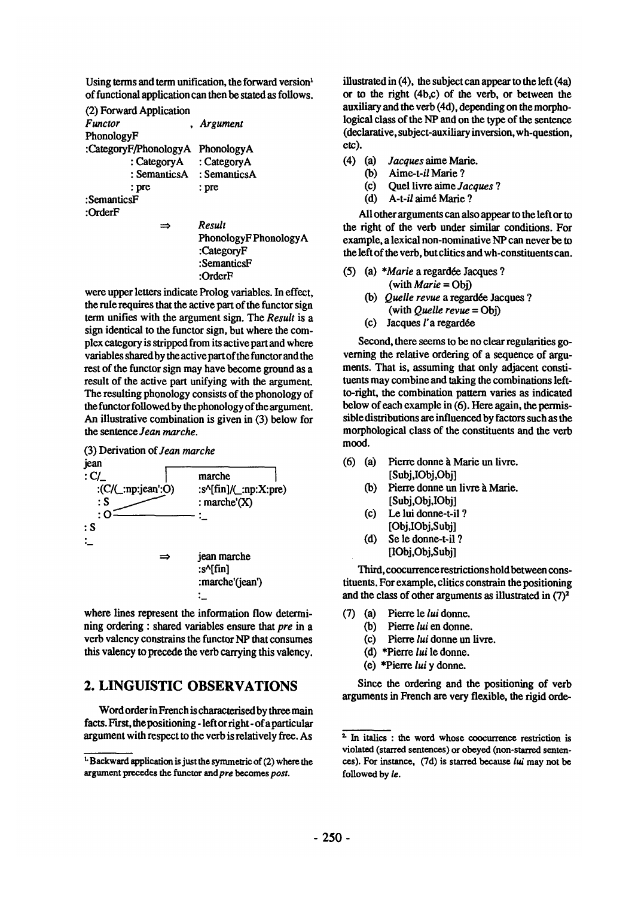Using terms and term unification, the forward version<sup>1</sup> of functional application can then be stated as follows.

(2) Forward Application *Functor Argument*  PhonologyF :CategoryF/PhonologyA PhonologyA : CategoryA : CategoryA : SemanticsA : SemanticsA :prc : pie :SemanticsF :OrderF *Result*   $\Rightarrow$ 

PhonologyF PhonologyA :CategoryF :SemanticsF :OrderF

were upper letters indicate Prolog variables. In effect, the rule requires that the active part of the functor sign term unifies with the argument sign. The *Result* is a sign identical to the functor sign, but where the complex category is stripped from its active part and where variables shared by the active part of the functor and the rest of the functor sign may have become ground as a result of the active part unifying with the argument. The resulting phonology consists of the phonology of the functor followed by the phonology of the argument. An illustrative combination is given in (3) below for the sentence *Jean marche.* 



where lines represent the information flow determining ordering : shared variables ensure that *pre* in a verb valency constrains the fanctor NP that consumes this valency to precede the verb carrying this valency.

# **2. LINGUISTIC OBSERVATIONS**

Word order in French is characterised by three main facts. First, the positioning - left or right- of a particular argument with respect to the verb is relatively free. As

illustrated in (4), the subject can appear to the left (4a) or to the right (4b,c) of the verb, or between the auxiliary and the verb (4d), depending on the morphological class of the NP and on the type of the sentence (declarative, subject-auxiliary inversion, wh-question, **etc).** 

- (4) (a) *Jacques aime Marie.* 
	- *CO) Alme-t-il* Marie ?
	- (c) Quel livre aime *Jacques ?*
	- (d) *A-t-il* aim6 Marie ?

All other arguments can also appear to the left or to the right of the verb under similar conditions. For example, a lexical non-nominative NP can never be to the left of the verb, but clitics and wh-constituents can.

- (5) (a) *\*Marie* a regardée Jacques ? (with *Marie* = Obj)
	- (b) *Quelle revue* a regardée Jacques ? (with *Quelle revue* = Obj)
	- $(c)$  Jacques l'a regardée

Second, there seems to be no clear regularities governing the relative ordering of a sequence of arguments. That is, assuming that only adjacent constituents may combine and taking the combinations leftto-right, the combination pattern varies as indicated below of each example in (6). Here again, the permissible distributions are influenced by factors such as the morphological class of the constituents and the verb mood.

- (6) (a) Pierre donne à Marie un livre. [Subj,IObj,Obj]
	- (b) Pierre donne un livre à Marie. [Subj,Obj,IObj]
	- (c) Le lui donne-t-il ? [Obj,IObj,Subj]
	- (d) Se le donne-t-il ? [IObj,Obj,Subj]

Third, coocurrence restrictions hold between constituents. For example, clitics constrain the positioning and the class of other arguments as illustrated in  $(7)^2$ 

- (7) (a) Pierre le *lui* donne.
	- Co) Pierre *lui* en donne.
		- (c) Pierre *lui* donne un livre.
		- (d) \*Pierre *lui* le donne.
	- (e) \*Pierre *lui* y donne.

Since the ordering and the positioning of verb arguments in French are very flexible, the rigid orde-

 $t$ . Backward application is just the symmetric of (2) where the argument precedes the funetor *endpre* becomes *post.* 

<sup>&</sup>lt;sup>2</sup> In italics : the word whose coocurrence restriction is violated (starred sentences) or obeyed (non-starred sentences). For instance,  $(7d)$  is starred because lui may not be followed by *le.*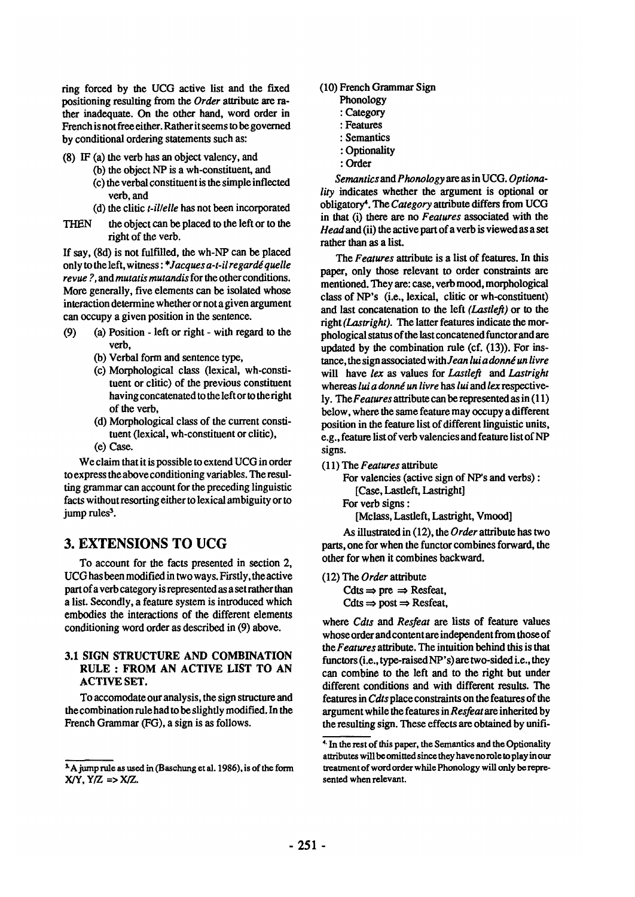ring forced by the UCG active list and the fixed positioning resulting from the *Order* attribute are rather inadequate. On the other hand, word order in French is not free either. Rather it seems to be governed by conditional ordering statements such as:

(8) IF (a) the verb has an object valency, and

- (b) the object NP is a wh-constituent, and
- (c) the verbal constituent is the simple inflected verb, and
- (d) the clitic *t-il/elle* has not been incorporated
- THEN the object can be placed to the left or to the right of the verb.

If say, (8d) is not fulfilled, the wh-NP can be placed only to the left, witness: *\*Jacques a-t-il regardé quelle revue ?,* and *mutatis mutandis* for the other conditions. More generally, five elements can be isolated whose interaction determine whether or not a given argument can occupy a given position in the sentence.

- (9) (a) Position left or right with regard to the verb,
	- (b) Verbal form and sentence type,
	- (c) Morphological class (lexical, wh-constituent or clitic) of the previous constituent having concatenated to the left or to the right of the verb,
	- (d) Morphological class of the current constituent (lexical, wh-constituent or clitic),
	- (e) Case.

We claim that it is possible to extend UCG in order to express the above conditioning variables. The resulling grammar can account for the preceding linguistic facts without resorting either to lexical ambiguity or to jump rules<sup>3</sup>.

# **3. EXTENSIONS TO UCG**

To account for the facts presented in section 2, UCG has been modified in two ways. Firstly, the active part of a verb category is represented as a set rather than a list. Secondly, a feature system is introduced which embodies the interactions of the different elements conditioning word order as described in (9) above.

#### 3.1 SIGN STRUCTURE AND COMBINATION RULE : FROM AN ACTIVE LIST TO AN ACTIVE SET.

To accomodate our analysis, the sign structure and the combination rule had to be slightly modified. In the French Grammar (FG), a sign is as follows.

**(10)** French Grammar Sign

- Phonology
- : Category
- : Features
- : Semantics
- : Optionality
- : Order

*Semantics and Phonology are as* in UCG. *Optionality* indicates whether the argument is optional or obligatory 4. The *Category* attribute differs from UCG in that (i) there are no *Features associated* with the *Head* and (ii) the active part of a verb is viewed as a set rather than as a list.

*The Features* attribute is a list of features. In this paper, only those relevant to order constraints are mentioned. They are: case, verb mood, morphological class of NP's (i.e., lexical, clitic or wh-constituent) and last concatenation to the left *(Lastlefl)* or to the right *(Lastright). The* latter features indicate the morphological status of the last concatened functorand are updated by the combination rule (cf. (13)). For instance, the sign associated with *Jean lui a donné un livre* will have *lex as* values for *Lastlefl and Lastright*  whereas *lui a donné un livre* has *lui* and *lex* respectively. The *Features* attribute can be represented as in (11 ) below, where the same feature may occupy a different position in the feature list of different linguistic units, e.g., feature list of verb valencies and feature list of NP signs.

(11) The *Features* attribute

For valencies (active sign of NP's and verbs) : [Case, Lastleft, Lastright]

For verb signs :

[Mclass, Lastleft, Lastright, Vmood]

As illustrated in (12), the *Order* attribute has two parts, one for when the functor combines forward, the other for when it combines backward.

(12) The *Order* attribute  $C$ dts  $\Rightarrow$  pre  $\Rightarrow$  Resfeat,

 $C$ dts  $\Rightarrow$  post  $\Rightarrow$  Resfeat,

where *Cdts and Resfeat are* lists of feature values whose order and content are independent from those of *the Features* attribute. The intuition behind this is that functors (i.e., type-raised NP's) are two-sided i.e., they can combine to the left and to the right but under different conditions and with different results. The features in *Cdts* place constraints on the features of the argument while the features in *Resfeat are* inherited by the resulting sign. These effects are obtained by unifi-

<sup>&</sup>lt;sup>3</sup>A jump rule as used in (Baschung et al. 1986), is of the form  $X/Y$ ,  $Y/Z \Rightarrow X/Z$ .

<sup>&</sup>lt;sup>4.</sup> In the rest of this paper, the Semantics and the Optionality attributes will be omitted since they have no role to play in our treatment of word order while Phonology will only be represented when relevant.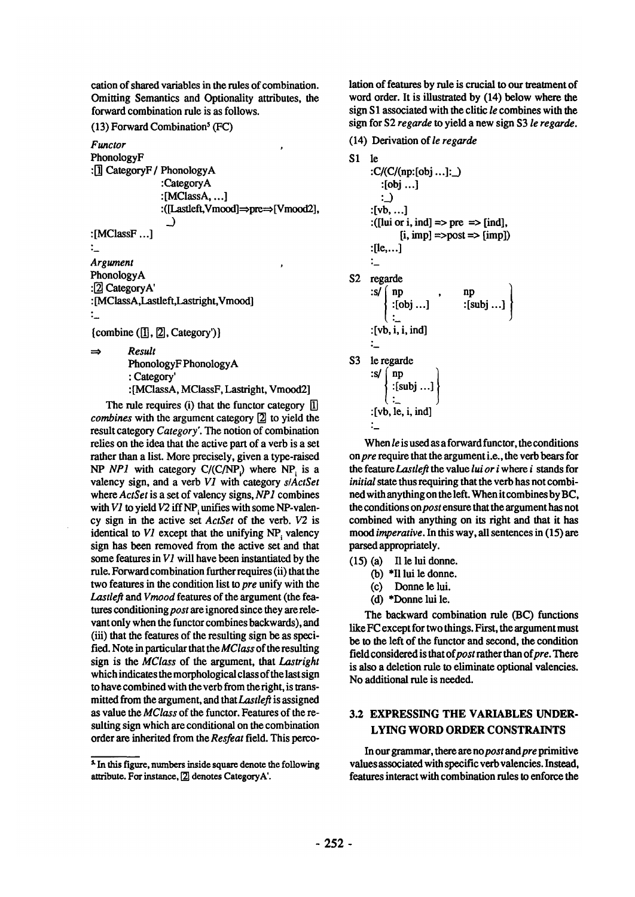cation of shared variables in the rules of combination. Omitting Semantics and Optionality attributes, the forward combination rule is as follows.

 $(13)$  Forward Combination<sup>5</sup> (FC)

*Functor* 

PhonologyF : $\overline{1}$  CategoryF / PhonologyA :CategoryA  $:$ [MClassA, ...] : ([Lastleft,Vmood] ~pre~ [Vmood2],  $\overline{3}$ :[MClassF...] ." *Argument*  PhonologyA :<sup>[2]</sup> CategoryA' : [MClassA,Lastleft,Lastright,Vmood]  $\ddot{\phantom{a}}$ 

 ${combine (T], [2], Category') }$ 

*Result*   $\Rightarrow$ 

PhonologyF PhonologyA

: Category'

: [MClassA, MClassF, Lastright, Vmood2]

The rule requires (i) that the functor category  $\left| \overline{1} \right|$ *combines* with the argument category [2] to yield the result category *Category'. The* notion of combination relies on the idea that the active part of a verb is a set rather than a list. More precisely, given a type-raised *NP NP1* with category C/(C/NP.) where NP is a valency sign, and a verb *V1* with category *slActSet*  where *ActSet* is a set of valency signs, *NP1* combines with *V1* to yield *V2* iff NP<sub></sub> unifies with some NP-valency sign in the active set *ActSet* of the verb. *V2* is identical to  $VI$  except that the unifying  $NP$ , valency sign has been removed from the active set and that some features in *V1* will have been instantiated by the rule. Forward combination further requires (ii) that the two features in the condition list to *pre* unify with the *Lastlefl and Vmood* features of the argument (the fea*tures conditioning post are* ignored since they are relevant only when the functor combines backwards), and (iii) that the features of the resulting sign be as specified. Note in particular that the *MClass* of the resulting sign is the *MClass* of the argument, that *Lastright*  which indicates the morphological class of the last sign to have combined with the verb from theright, is transmitted from the argument, and *thatLastlefl* is assigned as value the *MClass* of the functor. Features of the resulting sign which are conditional on the combination order ate inherited from the *Resfeat* field. This perco-

x In this figure, numbers inside square denote the following attribute. For instance, [2] denotes CategoryA'.

lation of features by rule is crucial to our treatment of word order. It is illustrated by (14) below where the sign S 1 associated with the clitic *le* combines with the sign for \$2 *regarde to* yield a new sign \$3 *le regarde.* 

(14) Derivation of *le regarde* 

```
S1 le 
      :C/(C/(np:[obj...]:]):[obj...] 
         ::[vb .... ] 
      :([lui or i, ind] \Rightarrow pre \Rightarrow [ind],
              [i, imp] \implies post \implies [imp]:[1e, \ldots]:_ 
S2 regarde
      :s/{\binom n}:[obj...] :[subj ...]
      :[vb, i, i, ind] 
      :_ 
S3 le regarde
      \{ \text{subj} \dots \}:[vb, le, i, ind] 
      :_
```
When *le* is used as a forward functor, the conditions on *pre* require that the argument i.e., the verb bears for *the feature Lastlefl the* value *lui or i* where i stands for *initial* state thus requiring that the verb has not combined with anything on the left. When it combines by BC, the conditions *onpost* ensure that the argument has not combined with anything on its right and that it has *mood imperative.* In this way, all sentences in (15) are parsed appropriately.

- $(15)$  (a) Il le lui donne.
	- Co) \*II lui le donne.
	- (c) Donne le lui.
	- (d) \*Donne lui le.

The backward combination rule (BC) functions like FC except for two things. First, the argument must be to the left of the functor and second, the condition field considered is that of post rather than of pre. There is also a deletion rule to eliminate optional valencies. No additional rule is needed.

## **3.2 EXPRESSING THE VARIABLES UNDER-LYING WORD ORDER CONSTRAINTS**

In our grammar, there are no *post* and *pre* primitive values associated with specific verb valencies. Instead, features interact with combination rules to enforce the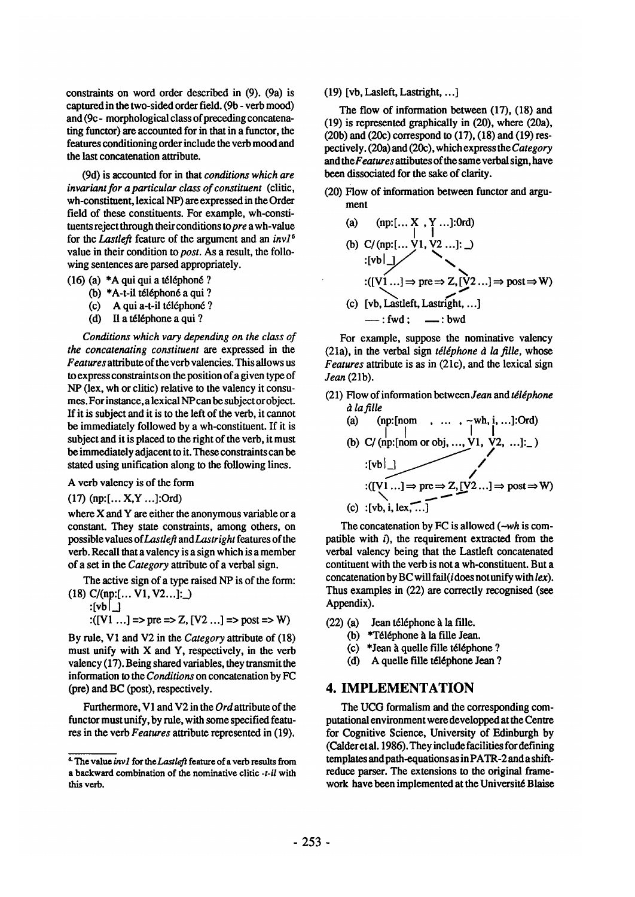constraints on word order described in (9). (9a) is captured in the two-sided order field. (9b - verb mood) and (9c- morphological class of preceding concatenating functor) are accounted for in that in a functor, the features conditioning order include the verb mood and the last concatenation attribute.

(9d) is accounted for in that *conditions which are invariant for a particular class of constituent* (clitic, wh-constituent, lexical NP) are expressed in the Order field of these constituents. For example, wh-constituents reject through their conditions *topre* a wh-value for the *Lastlefl* feature of the argument and an *inv16*  value in their condition to *post.* As a result, the following sentences are parsed appropriately.

- $(16)$  (a) \*A qui qui a téléphoné ?
	- (b)  $*A-t$ -il téléphoné a qui ?
	- (c) A qui a-t-il téléphoné ?
	- (d) Il a téléphone a qui ?

*Conditions which vary depending on the class of the concatenating constituent are* expressed in the *Features* attribute of the verb valencies. This allows us to express constraints on the position of a given type of NP (lex, wh or clitic) relative to the valency it consumes. For instance,a lexical NPcan be subject or object. If it is subject and it is to the left of the verb, it cannot be immediately followed by a wh-constituent. If it is subject and it is placed to the right of the verb, it must be immediately adjacent to it. These constraints can be stated using unification along to the following lines.

#### A verb valency is of the form

(17) (np:[... X,Y ...]:Ord)

where X and Y are either the anonymous variable or a constant. They state constraints, among others, on possible values *ofLastlefl andLastright* features of the verb. Recall that a valency is a sign which is a member of a set in the *Category* attribute of a verbal sign.

The active sign of a type raised NP is of the form: **(18) C/(np:[... V1, V2...]:\_\_)** 

$$
:[\mathsf{vb} \mid \_]
$$

$$
E([V1 \dots] = > pre \Rightarrow Z, [V2 \dots] = > post \Rightarrow W)
$$

By rule, V1 and V2 in the *Category* attribute of (18) must unify with X and Y, respectively, in the verb valency (17). Being shared variables, they transmit the information to the *Conditions* on concatenation by FC (pre) and BC (post), respectively.

Furthermore, V1 and V2 in the *Ord* attribute of the functor must unify, by rule, with some specified features in the verb *Features* attribute represented in (19).

(19)  $[vb, Lastright, ...]$ 

The flow of information between (17), (18) and (19) is represented graphically in (20), where (20a), (20b) and (20c) correspond to (17), (18) and (19) respectively. (20a) and (20c), which express the *Category and theFeatures* attibutes of the same verbal sign, have been dissociated for the sake of clarity.

- (20) Flow of information between functor and argument
	- **(a) (np:[... X**, Y ...]:0rd) (b) C/(np:[...  $V_1, V_2$  ...]: \_)  $:([V1...] \Rightarrow pre \Rightarrow Z, [V2...] \Rightarrow post \Rightarrow W)$ (c)  $[vb, Lastleft, Lastright, ...]$  $\longrightarrow$ : fwd:  $\quad \longrightarrow$ : bwd

For example, suppose the nominative valency (21a), in the verbal sign *téléphone à la fille*, whose *Features* attribute is as in (21c), and the lexical sign *Jean* (21b).

(21) Flow of information *between Jean and tdldphone a* la fille

(a) (np:[nom , ..., , \_wwh, i, ...]:Ord)  
\n(b) C/(np:[nom or obj, ..., V1, V2, ...]:  
\n:[vb]  
\n::[V1...] 
$$
\Rightarrow
$$
 pre  $\Rightarrow$  Z, [V2...]  $\Rightarrow$  post  $\Rightarrow$  W)  
\n(c) :[vb, i, lex, ...]

The concatenation by FC is allowed *(-wh* is compatible with  $i$ ), the requirement extracted from the verbal valency being that the Lastleft concatenated contituent with the verb is not a wh-constituent. But a concatenation by BC will fail(i does not unify with *lex).*  Thus examples in (22) are correctly recognised (see Appendix).

- $(22)$  (a) Jean téléphone à la fille.
	- (b) \*Téléphone à la fille Jean.
	- $(c)$  \*Jean à quelle fille téléphone ?
	- (d) A quelle fille téléphone Jean ?

## **4. IMPLEMENTATION**

The UCG formalism and the corresponding computational environment were developped at the Centre for Cognitive Science, University of Edinburgh by (Calderetal. 1986). They include facilities for defining templates and path-equations as in PATR-2 and a shiftreduce parser. The extensions to the original framework have been implemented at the Universit6 Blaise

 $6$  The value invl for the Lastleft feature of a verb results from a backward combination of the nominative elitic *-t-il* with this verb.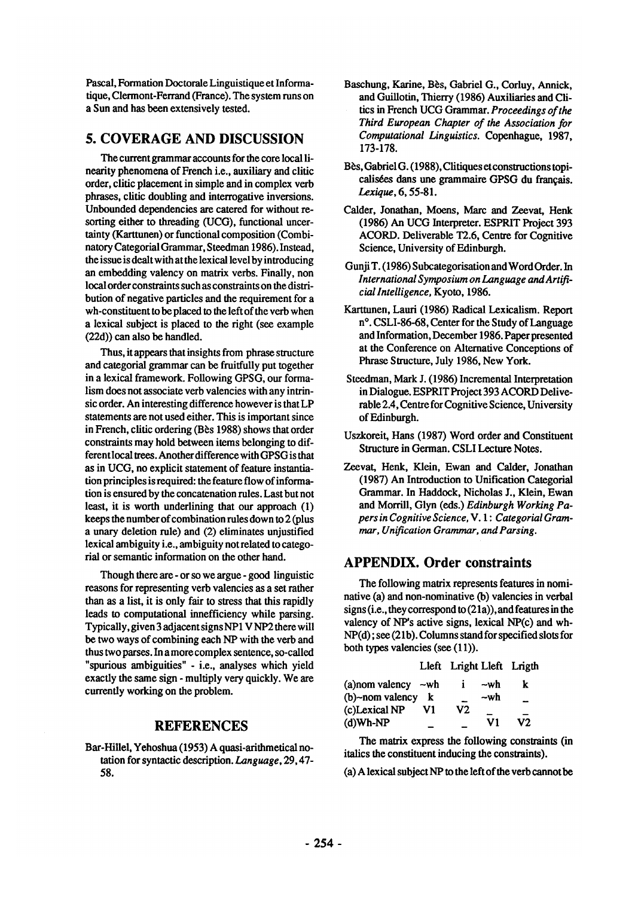Pascal, Formation Doctorale Linguistique et Informatique, Clermont-Ferrand (France). The system runs on a Sun and has been extensively tested.

## **5. COVERAGE AND DISCUSSION**

The current grammar accounts for the core local linearity phenomena of French i.e., auxiliary and clitic order, clitic placement in simple and in complex verb phrases, clitic doubling and interrogative inversions. Unbounded dependencies are catered for without resorting either to threading (UCG), functional uncertainty (Karttunen) or functional composition (Combinatory Categorial Grammar, Steedman 1986). Instead, the issue is dealt with at the lexical level by introducing an embedding valency on matrix verbs. Finally, non local order constraints such as constraints on the distribution of negative particles and the requirement for a wh-constituent to be placed to the left of the verb when a lexical subject is placed to the right (see example (22d)) can also be handled.

Thus, it appears that insights from phrase structure and categorial grammar can be fruitfully put together in a lexical framework. Following GPSG, our formalism does not associate verb valencies with any intrinsic order. An interesting difference however is that LP statements are not used either. This is important since in French, clitic ordering (Bès 1988) shows that order constraints may hold between items belonging to different local trees. Another difference with GPSG is that as in UCG, no explicit statement of feature instantiation principles is required: the feature flow of information is ensured by the concatenation rules. Last but not least, it is worth underlining that our approach (1) keeps the number of combination rules down to 2 (plus a unary deletion rule) and (2) eliminates unjustified lexical ambiguity i.e., ambiguity not related to categorial or semantic information on the other hand.

Though there are - or so we argue - good linguistic reasons for representing verb valencies as a set rather than as a list, it is only fair to stress that this rapidly leads to computational innefficiency while parsing. Typically, given 3 adjacent signs NP1 V NP2 there will be two ways of combining each NP with the verb and thus two parses. In a more complex sentence, so-called "spurious ambiguities" - i.e., analyses which yield exactly the same sign - multiply very quickly. We are currently working on the problem.

## **REFERENCES**

Bar-Hillel, Yehoshua (1953) A quasi-arithmetical notation for syntactic description. *Language,* 29, 47- 58.

- Baschung, Karine, Bès, Gabriel G., Corluy, Annick, and Guillotin, Thierry (1986) Auxiliaries and Clitics in French UCG Grammar. *Proceedings of the Third European Chapter of the Association for Computational Linguistics.* Copenhague, 1987, 173-178.
- Bès, Gabriel G. (1988), Clitiques et constructions topicalisées dans une grammaire GPSG du français. Lexique, 6, 55-81.
- Calder, Jonathan, Moens, Marc and Zeevat, Honk (1986) An UCG Interpreter. ESPRIT Project 393 ACORD. Deliverable T2.6, Centre for Cognitive Science, University of Edinburgh.
- Gunji T. (1986) Subcategorisation and Word Order. In *International Symposium on Language and ArtificialIntelligence,* Kyoto, 1986.
- Karttunen, Lauri (1986) Radical Lexicalism. Report n<sup>o</sup>, CSLI-86-68, Center for the Study of Language and Information, December 1986. Paper presented at the Conference on Alternative Conceptions of Phrase Structure, July 1986, New York.
- Steedman, Mark J. (1986) Incremental Interpretation in Dialogue. ESPRIT Project 393 ACORD Deliverable 2.4, Centre for Cognitive Science, University of Edinburgh.
- Uszkoreit, Hans (1987) Word order and Constituent Structure in German. CSLI Lecture Notes.
- Zeevat, Henk, Klein, Ewan and Calder, Jonathan (1987) An Introduction to Unification Categorial Grammar. In Haddock, Nicholas J., Klein, Ewan and Morrill, Glyn (eds.) *Edinburgh Working Papers in Cognitive Science, V. 1 : Categorial Grammar, Unification Grammar, and Parsing.*

## **APPENDIX. Order constraints**

The following matrix represents features in nominative (a) and non-nominative (b) valencies in verbal signs (i.e., they correspond to  $(21a)$ ), and features in the valency of NP's active signs, lexical NP(c) and wh-NP(d); see (21b). Columns stand for specified slots for both types valencies (see (11)).

|                 |     |    |     | Lleft Lright Lleft Lrigth |  |
|-----------------|-----|----|-----|---------------------------|--|
| (a) nom valency | —wh |    | ~wh | k                         |  |
| (b)~nom valency | k   |    | ~wh | --                        |  |
| (c)Lexical NP   | V1  | V2 |     |                           |  |
| (d)Wh-NP        |     |    | V1  | V2                        |  |

The matrix express the following constraints (in italics the constituent inducing the constraints).

(a) A lexical subject NP to the left of the verb cannot be